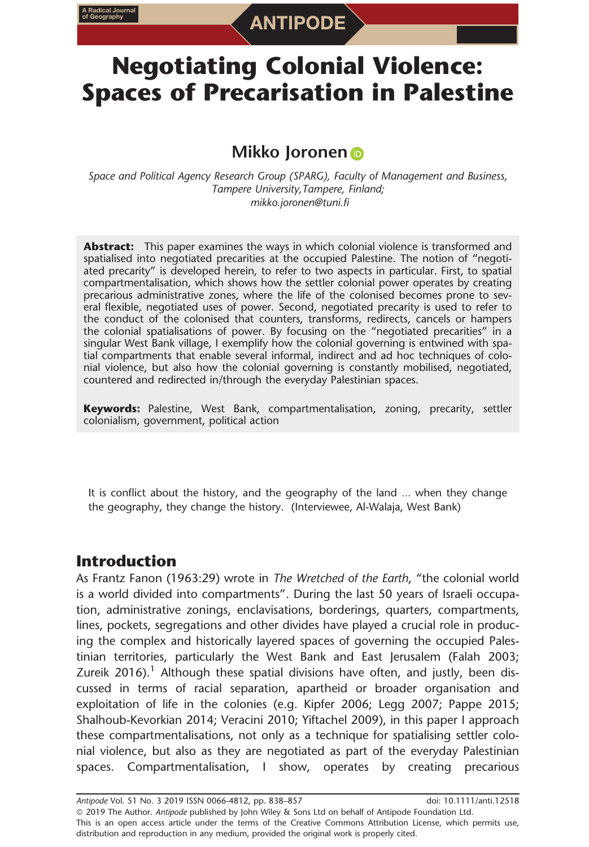# Negotiating Colonial Violence: Spaces of Precarisation in Palestine

# Mikko Joronen D

Space and Political Agency Research Group (SPARG), Faculty of Management and Business, Tampere University,Tampere, Finland; mikko.joronen@tuni.fi

Abstract: This paper examines the ways in which colonial violence is transformed and spatialised into negotiated precarities at the occupied Palestine. The notion of "negotiated precarity" is developed herein, to refer to two aspects in particular. First, to spatial compartmentalisation, which shows how the settler colonial power operates by creating precarious administrative zones, where the life of the colonised becomes prone to several flexible, negotiated uses of power. Second, negotiated precarity is used to refer to the conduct of the colonised that counters, transforms, redirects, cancels or hampers the colonial spatialisations of power. By focusing on the "negotiated precarities" in a singular West Bank village, I exemplify how the colonial governing is entwined with spatial compartments that enable several informal, indirect and ad hoc techniques of colonial violence, but also how the colonial governing is constantly mobilised, negotiated, countered and redirected in/through the everyday Palestinian spaces.

Keywords: Palestine, West Bank, compartmentalisation, zoning, precarity, settler colonialism, government, political action

It is conflict about the history, and the geography of the land ... when they change the geography, they change the history. (Interviewee, Al-Walaja, West Bank)

# Introduction

As Frantz Fanon (1963:29) wrote in The Wretched of the Earth, "the colonial world is a world divided into compartments". During the last 50 years of Israeli occupation, administrative zonings, enclavisations, borderings, quarters, compartments, lines, pockets, segregations and other divides have played a crucial role in producing the complex and historically layered spaces of governing the occupied Palestinian territories, particularly the West Bank and East Jerusalem (Falah 2003; Zureik 2016).<sup>1</sup> Although these spatial divisions have often, and justly, been discussed in terms of racial separation, apartheid or broader organisation and exploitation of life in the colonies (e.g. Kipfer 2006; Legg 2007; Pappe 2015; Shalhoub-Kevorkian 2014; Veracini 2010; Yiftachel 2009), in this paper I approach these compartmentalisations, not only as a technique for spatialising settler colonial violence, but also as they are negotiated as part of the everyday Palestinian spaces. Compartmentalisation, I show, operates by creating precarious

Antipode Vol. 51 No. 3 2019 ISSN 0066-4812, pp. 838–857 doi: 10.1111/anti.12518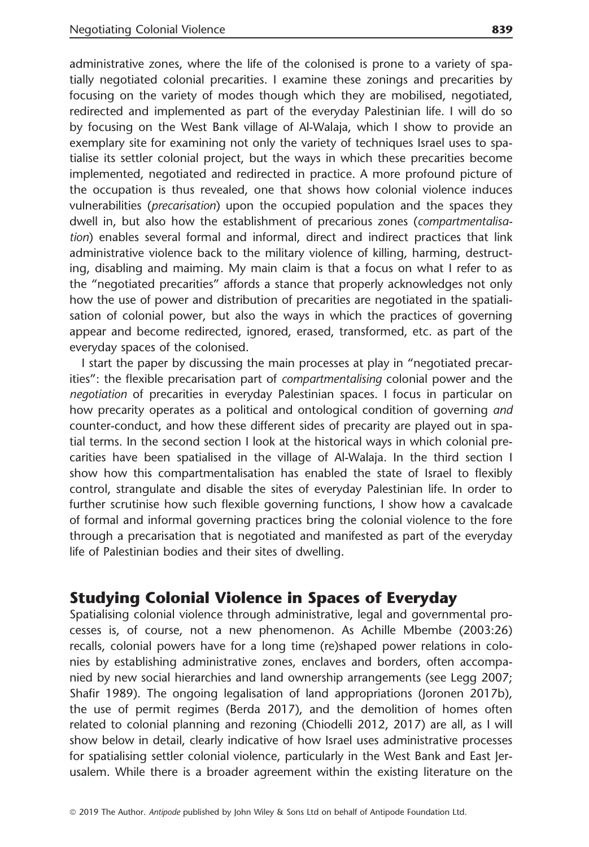administrative zones, where the life of the colonised is prone to a variety of spatially negotiated colonial precarities. I examine these zonings and precarities by focusing on the variety of modes though which they are mobilised, negotiated, redirected and implemented as part of the everyday Palestinian life. I will do so by focusing on the West Bank village of Al-Walaja, which I show to provide an exemplary site for examining not only the variety of techniques Israel uses to spatialise its settler colonial project, but the ways in which these precarities become implemented, negotiated and redirected in practice. A more profound picture of the occupation is thus revealed, one that shows how colonial violence induces vulnerabilities (precarisation) upon the occupied population and the spaces they dwell in, but also how the establishment of precarious zones (compartmentalisation) enables several formal and informal, direct and indirect practices that link administrative violence back to the military violence of killing, harming, destructing, disabling and maiming. My main claim is that a focus on what I refer to as the "negotiated precarities" affords a stance that properly acknowledges not only how the use of power and distribution of precarities are negotiated in the spatialisation of colonial power, but also the ways in which the practices of governing appear and become redirected, ignored, erased, transformed, etc. as part of the everyday spaces of the colonised.

I start the paper by discussing the main processes at play in "negotiated precarities": the flexible precarisation part of compartmentalising colonial power and the negotiation of precarities in everyday Palestinian spaces. I focus in particular on how precarity operates as a political and ontological condition of governing and counter-conduct, and how these different sides of precarity are played out in spatial terms. In the second section I look at the historical ways in which colonial precarities have been spatialised in the village of Al-Walaja. In the third section I show how this compartmentalisation has enabled the state of Israel to flexibly control, strangulate and disable the sites of everyday Palestinian life. In order to further scrutinise how such flexible governing functions, I show how a cavalcade of formal and informal governing practices bring the colonial violence to the fore through a precarisation that is negotiated and manifested as part of the everyday life of Palestinian bodies and their sites of dwelling.

# Studying Colonial Violence in Spaces of Everyday

Spatialising colonial violence through administrative, legal and governmental processes is, of course, not a new phenomenon. As Achille Mbembe (2003:26) recalls, colonial powers have for a long time (re)shaped power relations in colonies by establishing administrative zones, enclaves and borders, often accompanied by new social hierarchies and land ownership arrangements (see Legg 2007; Shafir 1989). The ongoing legalisation of land appropriations (Joronen 2017b), the use of permit regimes (Berda 2017), and the demolition of homes often related to colonial planning and rezoning (Chiodelli 2012, 2017) are all, as I will show below in detail, clearly indicative of how Israel uses administrative processes for spatialising settler colonial violence, particularly in the West Bank and East Jerusalem. While there is a broader agreement within the existing literature on the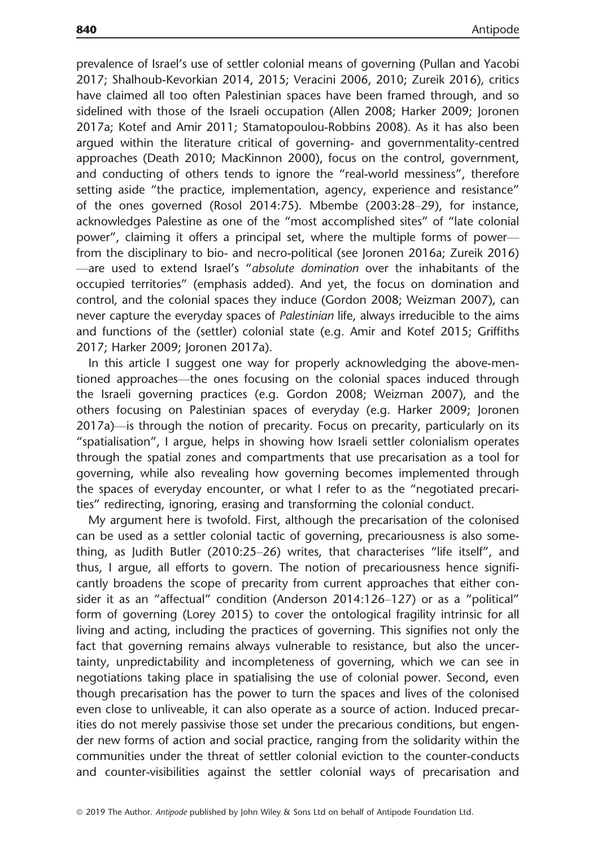prevalence of Israel's use of settler colonial means of governing (Pullan and Yacobi 2017; Shalhoub-Kevorkian 2014, 2015; Veracini 2006, 2010; Zureik 2016), critics have claimed all too often Palestinian spaces have been framed through, and so sidelined with those of the Israeli occupation (Allen 2008; Harker 2009; Joronen 2017a; Kotef and Amir 2011; Stamatopoulou-Robbins 2008). As it has also been argued within the literature critical of governing- and governmentality-centred approaches (Death 2010; MacKinnon 2000), focus on the control, government, and conducting of others tends to ignore the "real-world messiness", therefore setting aside "the practice, implementation, agency, experience and resistance" of the ones governed (Rosol 2014:75). Mbembe (2003:28–29), for instance, acknowledges Palestine as one of the "most accomplished sites" of "late colonial power", claiming it offers a principal set, where the multiple forms of power from the disciplinary to bio- and necro-political (see Joronen 2016a; Zureik 2016) —are used to extend Israel's "absolute domination over the inhabitants of the occupied territories" (emphasis added). And yet, the focus on domination and control, and the colonial spaces they induce (Gordon 2008; Weizman 2007), can never capture the everyday spaces of Palestinian life, always irreducible to the aims and functions of the (settler) colonial state (e.g. Amir and Kotef 2015; Griffiths 2017; Harker 2009; Joronen 2017a).

In this article I suggest one way for properly acknowledging the above-mentioned approaches—the ones focusing on the colonial spaces induced through the Israeli governing practices (e.g. Gordon 2008; Weizman 2007), and the others focusing on Palestinian spaces of everyday (e.g. Harker 2009; Joronen 2017a)—is through the notion of precarity. Focus on precarity, particularly on its "spatialisation", I argue, helps in showing how Israeli settler colonialism operates through the spatial zones and compartments that use precarisation as a tool for governing, while also revealing how governing becomes implemented through the spaces of everyday encounter, or what I refer to as the "negotiated precarities" redirecting, ignoring, erasing and transforming the colonial conduct.

My argument here is twofold. First, although the precarisation of the colonised can be used as a settler colonial tactic of governing, precariousness is also something, as Judith Butler (2010:25–26) writes, that characterises "life itself", and thus, I argue, all efforts to govern. The notion of precariousness hence significantly broadens the scope of precarity from current approaches that either consider it as an "affectual" condition (Anderson 2014:126–127) or as a "political" form of governing (Lorey 2015) to cover the ontological fragility intrinsic for all living and acting, including the practices of governing. This signifies not only the fact that governing remains always vulnerable to resistance, but also the uncertainty, unpredictability and incompleteness of governing, which we can see in negotiations taking place in spatialising the use of colonial power. Second, even though precarisation has the power to turn the spaces and lives of the colonised even close to unliveable, it can also operate as a source of action. Induced precarities do not merely passivise those set under the precarious conditions, but engender new forms of action and social practice, ranging from the solidarity within the communities under the threat of settler colonial eviction to the counter-conducts and counter-visibilities against the settler colonial ways of precarisation and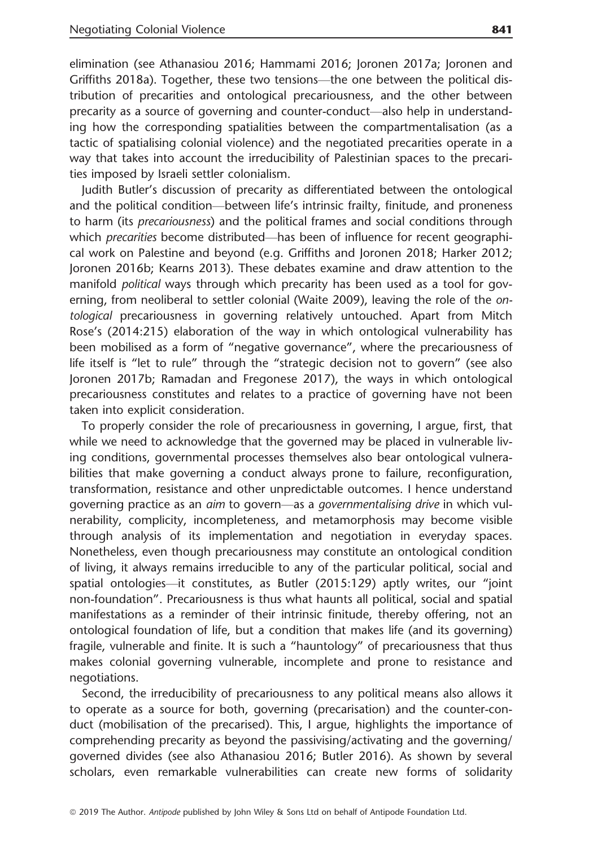elimination (see Athanasiou 2016; Hammami 2016; Joronen 2017a; Joronen and Griffiths 2018a). Together, these two tensions—the one between the political distribution of precarities and ontological precariousness, and the other between precarity as a source of governing and counter-conduct—also help in understanding how the corresponding spatialities between the compartmentalisation (as a tactic of spatialising colonial violence) and the negotiated precarities operate in a way that takes into account the irreducibility of Palestinian spaces to the precarities imposed by Israeli settler colonialism.

Judith Butler's discussion of precarity as differentiated between the ontological and the political condition—between life's intrinsic frailty, finitude, and proneness to harm (its precariousness) and the political frames and social conditions through which *precarities* become distributed—has been of influence for recent geographical work on Palestine and beyond (e.g. Griffiths and Joronen 2018; Harker 2012; Joronen 2016b; Kearns 2013). These debates examine and draw attention to the manifold political ways through which precarity has been used as a tool for governing, from neoliberal to settler colonial (Waite 2009), leaving the role of the ontological precariousness in governing relatively untouched. Apart from Mitch Rose's (2014:215) elaboration of the way in which ontological vulnerability has been mobilised as a form of "negative governance", where the precariousness of life itself is "let to rule" through the "strategic decision not to govern" (see also Joronen 2017b; Ramadan and Fregonese 2017), the ways in which ontological precariousness constitutes and relates to a practice of governing have not been taken into explicit consideration.

To properly consider the role of precariousness in governing, I argue, first, that while we need to acknowledge that the governed may be placed in vulnerable living conditions, governmental processes themselves also bear ontological vulnerabilities that make governing a conduct always prone to failure, reconfiguration, transformation, resistance and other unpredictable outcomes. I hence understand governing practice as an aim to govern—as a governmentalising drive in which vulnerability, complicity, incompleteness, and metamorphosis may become visible through analysis of its implementation and negotiation in everyday spaces. Nonetheless, even though precariousness may constitute an ontological condition of living, it always remains irreducible to any of the particular political, social and spatial ontologies—it constitutes, as Butler (2015:129) aptly writes, our "joint non-foundation". Precariousness is thus what haunts all political, social and spatial manifestations as a reminder of their intrinsic finitude, thereby offering, not an ontological foundation of life, but a condition that makes life (and its governing) fragile, vulnerable and finite. It is such a "hauntology" of precariousness that thus makes colonial governing vulnerable, incomplete and prone to resistance and negotiations.

Second, the irreducibility of precariousness to any political means also allows it to operate as a source for both, governing (precarisation) and the counter-conduct (mobilisation of the precarised). This, I argue, highlights the importance of comprehending precarity as beyond the passivising/activating and the governing/ governed divides (see also Athanasiou 2016; Butler 2016). As shown by several scholars, even remarkable vulnerabilities can create new forms of solidarity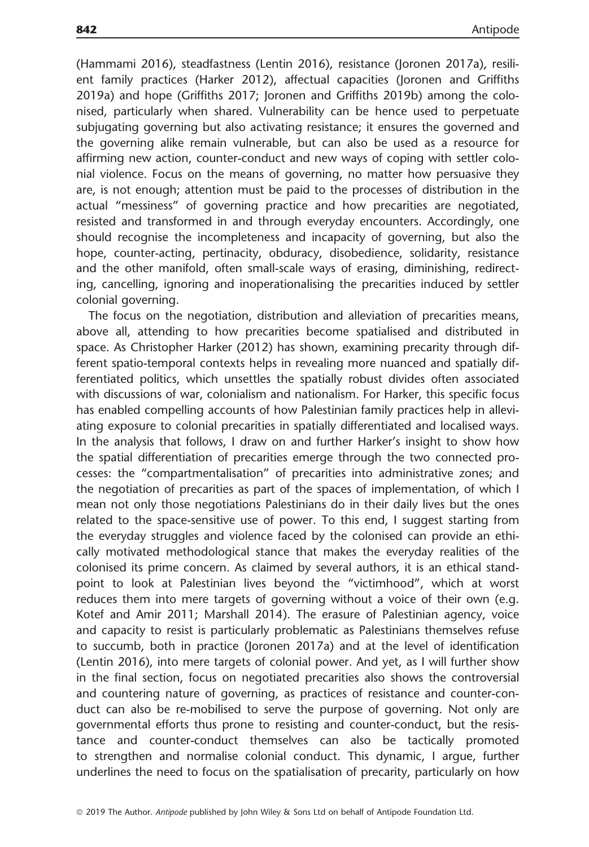(Hammami 2016), steadfastness (Lentin 2016), resistance (Joronen 2017a), resilient family practices (Harker 2012), affectual capacities (Joronen and Griffiths 2019a) and hope (Griffiths 2017; Joronen and Griffiths 2019b) among the colonised, particularly when shared. Vulnerability can be hence used to perpetuate subjugating governing but also activating resistance; it ensures the governed and the governing alike remain vulnerable, but can also be used as a resource for affirming new action, counter-conduct and new ways of coping with settler colonial violence. Focus on the means of governing, no matter how persuasive they are, is not enough; attention must be paid to the processes of distribution in the actual "messiness" of governing practice and how precarities are negotiated, resisted and transformed in and through everyday encounters. Accordingly, one should recognise the incompleteness and incapacity of governing, but also the hope, counter-acting, pertinacity, obduracy, disobedience, solidarity, resistance and the other manifold, often small-scale ways of erasing, diminishing, redirecting, cancelling, ignoring and inoperationalising the precarities induced by settler colonial governing.

The focus on the negotiation, distribution and alleviation of precarities means, above all, attending to how precarities become spatialised and distributed in space. As Christopher Harker (2012) has shown, examining precarity through different spatio-temporal contexts helps in revealing more nuanced and spatially differentiated politics, which unsettles the spatially robust divides often associated with discussions of war, colonialism and nationalism. For Harker, this specific focus has enabled compelling accounts of how Palestinian family practices help in alleviating exposure to colonial precarities in spatially differentiated and localised ways. In the analysis that follows, I draw on and further Harker's insight to show how the spatial differentiation of precarities emerge through the two connected processes: the "compartmentalisation" of precarities into administrative zones; and the negotiation of precarities as part of the spaces of implementation, of which I mean not only those negotiations Palestinians do in their daily lives but the ones related to the space-sensitive use of power. To this end, I suggest starting from the everyday struggles and violence faced by the colonised can provide an ethically motivated methodological stance that makes the everyday realities of the colonised its prime concern. As claimed by several authors, it is an ethical standpoint to look at Palestinian lives beyond the "victimhood", which at worst reduces them into mere targets of governing without a voice of their own (e.g. Kotef and Amir 2011; Marshall 2014). The erasure of Palestinian agency, voice and capacity to resist is particularly problematic as Palestinians themselves refuse to succumb, both in practice (Joronen 2017a) and at the level of identification (Lentin 2016), into mere targets of colonial power. And yet, as I will further show in the final section, focus on negotiated precarities also shows the controversial and countering nature of governing, as practices of resistance and counter-conduct can also be re-mobilised to serve the purpose of governing. Not only are governmental efforts thus prone to resisting and counter-conduct, but the resistance and counter-conduct themselves can also be tactically promoted to strengthen and normalise colonial conduct. This dynamic, I argue, further underlines the need to focus on the spatialisation of precarity, particularly on how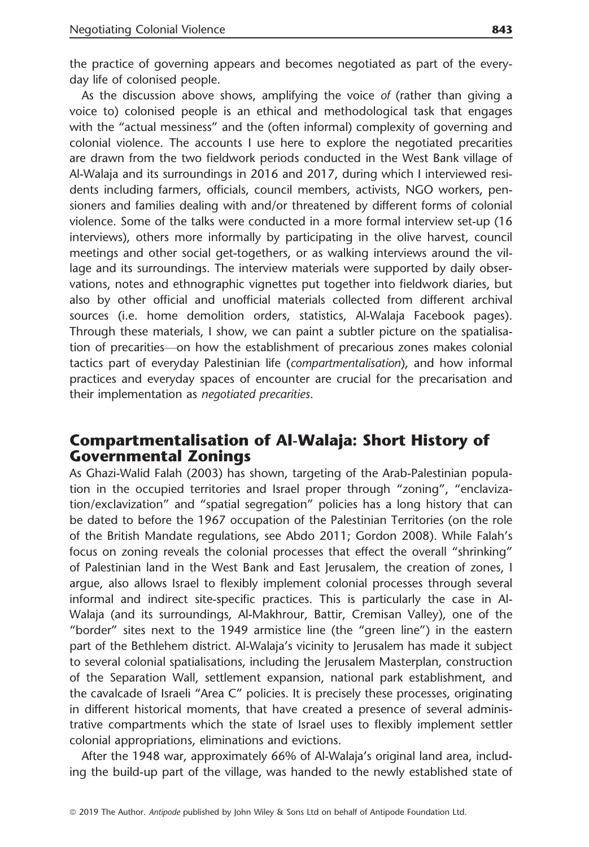the practice of governing appears and becomes negotiated as part of the everyday life of colonised people.

As the discussion above shows, amplifying the voice of (rather than giving a voice to) colonised people is an ethical and methodological task that engages with the "actual messiness" and the (often informal) complexity of governing and colonial violence. The accounts I use here to explore the negotiated precarities are drawn from the two fieldwork periods conducted in the West Bank village of Al-Walaja and its surroundings in 2016 and 2017, during which I interviewed residents including farmers, officials, council members, activists, NGO workers, pensioners and families dealing with and/or threatened by different forms of colonial violence. Some of the talks were conducted in a more formal interview set-up (16 interviews), others more informally by participating in the olive harvest, council meetings and other social get-togethers, or as walking interviews around the village and its surroundings. The interview materials were supported by daily observations, notes and ethnographic vignettes put together into fieldwork diaries, but also by other official and unofficial materials collected from different archival sources (i.e. home demolition orders, statistics, Al-Walaja Facebook pages). Through these materials, I show, we can paint a subtler picture on the spatialisation of precarities—on how the establishment of precarious zones makes colonial tactics part of everyday Palestinian life (compartmentalisation), and how informal practices and everyday spaces of encounter are crucial for the precarisation and their implementation as negotiated precarities.

# Compartmentalisation of Al-Walaja: Short History of Governmental Zonings

As Ghazi-Walid Falah (2003) has shown, targeting of the Arab-Palestinian population in the occupied territories and Israel proper through "zoning", "enclavization/exclavization" and "spatial segregation" policies has a long history that can be dated to before the 1967 occupation of the Palestinian Territories (on the role of the British Mandate regulations, see Abdo 2011; Gordon 2008). While Falah's focus on zoning reveals the colonial processes that effect the overall "shrinking" of Palestinian land in the West Bank and East Jerusalem, the creation of zones, I argue, also allows Israel to flexibly implement colonial processes through several informal and indirect site-specific practices. This is particularly the case in Al-Walaja (and its surroundings, Al-Makhrour, Battir, Cremisan Valley), one of the "border" sites next to the 1949 armistice line (the "green line") in the eastern part of the Bethlehem district. Al-Walaja's vicinity to Jerusalem has made it subject to several colonial spatialisations, including the Jerusalem Masterplan, construction of the Separation Wall, settlement expansion, national park establishment, and the cavalcade of Israeli "Area C" policies. It is precisely these processes, originating in different historical moments, that have created a presence of several administrative compartments which the state of Israel uses to flexibly implement settler colonial appropriations, eliminations and evictions.

After the 1948 war, approximately 66% of Al-Walaja's original land area, including the build-up part of the village, was handed to the newly established state of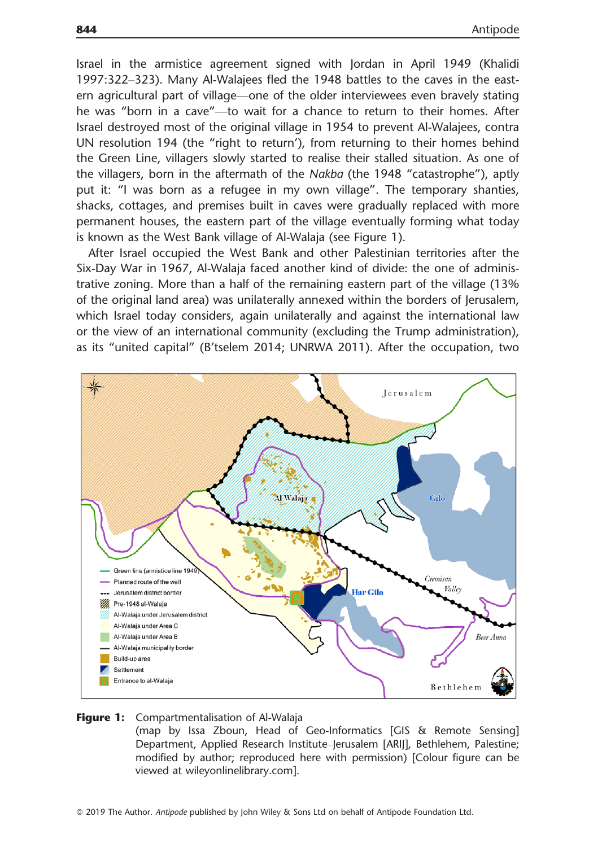Israel in the armistice agreement signed with Jordan in April 1949 (Khalidi 1997:322–323). Many Al-Walajees fled the 1948 battles to the caves in the eastern agricultural part of village—one of the older interviewees even bravely stating he was "born in a cave"—to wait for a chance to return to their homes. After Israel destroyed most of the original village in 1954 to prevent Al-Walajees, contra UN resolution 194 (the "right to return'), from returning to their homes behind the Green Line, villagers slowly started to realise their stalled situation. As one of the villagers, born in the aftermath of the Nakba (the 1948 "catastrophe"), aptly put it: "I was born as a refugee in my own village". The temporary shanties, shacks, cottages, and premises built in caves were gradually replaced with more permanent houses, the eastern part of the village eventually forming what today is known as the West Bank village of Al-Walaja (see Figure 1).

After Israel occupied the West Bank and other Palestinian territories after the Six-Day War in 1967, Al-Walaja faced another kind of divide: the one of administrative zoning. More than a half of the remaining eastern part of the village (13% of the original land area) was unilaterally annexed within the borders of Jerusalem, which Israel today considers, again unilaterally and against the international law or the view of an international community (excluding the Trump administration), as its "united capital" (B'tselem 2014; UNRWA 2011). After the occupation, two



# Figure 1: Compartmentalisation of Al-Walaja

(map by Issa Zboun, Head of Geo-Informatics [GIS & Remote Sensing] Department, Applied Research Institute–Jerusalem [ARIJ], Bethlehem, Palestine; modified by author; reproduced here with permission) [Colour figure can be viewed at [wileyonlinelibrary.com](www.wileyonlinelibrary.com)].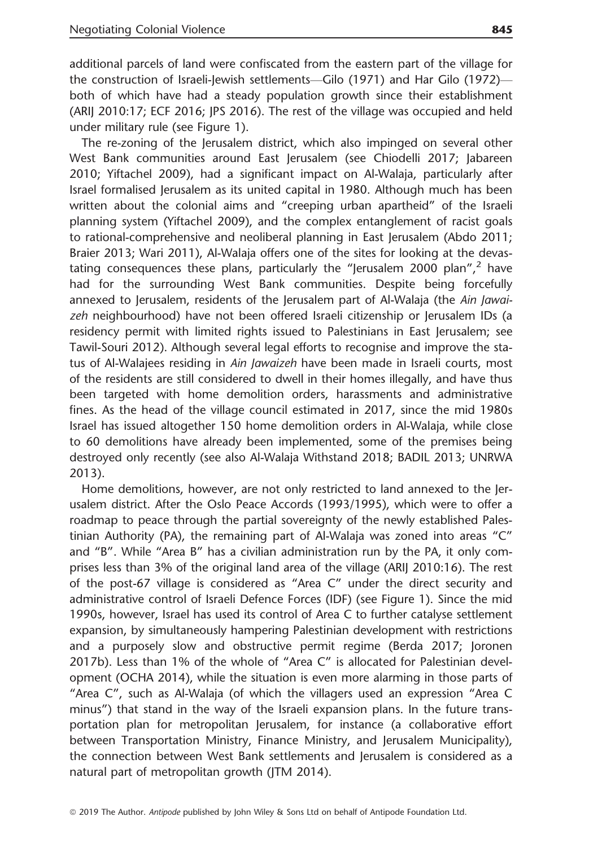additional parcels of land were confiscated from the eastern part of the village for the construction of Israeli-Jewish settlements—Gilo (1971) and Har Gilo (1972) both of which have had a steady population growth since their establishment (ARIJ 2010:17; ECF 2016; JPS 2016). The rest of the village was occupied and held under military rule (see Figure 1).

The re-zoning of the Jerusalem district, which also impinged on several other West Bank communities around East Jerusalem (see Chiodelli 2017; Jabareen 2010; Yiftachel 2009), had a significant impact on Al-Walaja, particularly after Israel formalised Jerusalem as its united capital in 1980. Although much has been written about the colonial aims and "creeping urban apartheid" of the Israeli planning system (Yiftachel 2009), and the complex entanglement of racist goals to rational-comprehensive and neoliberal planning in East Jerusalem (Abdo 2011; Braier 2013; Wari 2011), Al-Walaja offers one of the sites for looking at the devastating consequences these plans, particularly the "Jerusalem 2000 plan",<sup>2</sup> have had for the surrounding West Bank communities. Despite being forcefully annexed to Jerusalem, residents of the Jerusalem part of Al-Walaja (the Ain Jawaizeh neighbourhood) have not been offered Israeli citizenship or Jerusalem IDs (a residency permit with limited rights issued to Palestinians in East Jerusalem; see Tawil-Souri 2012). Although several legal efforts to recognise and improve the status of Al-Walajees residing in Ain Jawaizeh have been made in Israeli courts, most of the residents are still considered to dwell in their homes illegally, and have thus been targeted with home demolition orders, harassments and administrative fines. As the head of the village council estimated in 2017, since the mid 1980s Israel has issued altogether 150 home demolition orders in Al-Walaja, while close to 60 demolitions have already been implemented, some of the premises being destroyed only recently (see also Al-Walaja Withstand 2018; BADIL 2013; UNRWA 2013).

Home demolitions, however, are not only restricted to land annexed to the Jerusalem district. After the Oslo Peace Accords (1993/1995), which were to offer a roadmap to peace through the partial sovereignty of the newly established Palestinian Authority (PA), the remaining part of Al-Walaja was zoned into areas "C" and "B". While "Area B" has a civilian administration run by the PA, it only comprises less than 3% of the original land area of the village (ARIJ 2010:16). The rest of the post-67 village is considered as "Area C" under the direct security and administrative control of Israeli Defence Forces (IDF) (see Figure 1). Since the mid 1990s, however, Israel has used its control of Area C to further catalyse settlement expansion, by simultaneously hampering Palestinian development with restrictions and a purposely slow and obstructive permit regime (Berda 2017; Joronen 2017b). Less than 1% of the whole of "Area C" is allocated for Palestinian development (OCHA 2014), while the situation is even more alarming in those parts of "Area C", such as Al-Walaja (of which the villagers used an expression "Area C minus") that stand in the way of the Israeli expansion plans. In the future transportation plan for metropolitan Jerusalem, for instance (a collaborative effort between Transportation Ministry, Finance Ministry, and Jerusalem Municipality), the connection between West Bank settlements and Jerusalem is considered as a natural part of metropolitan growth (JTM 2014).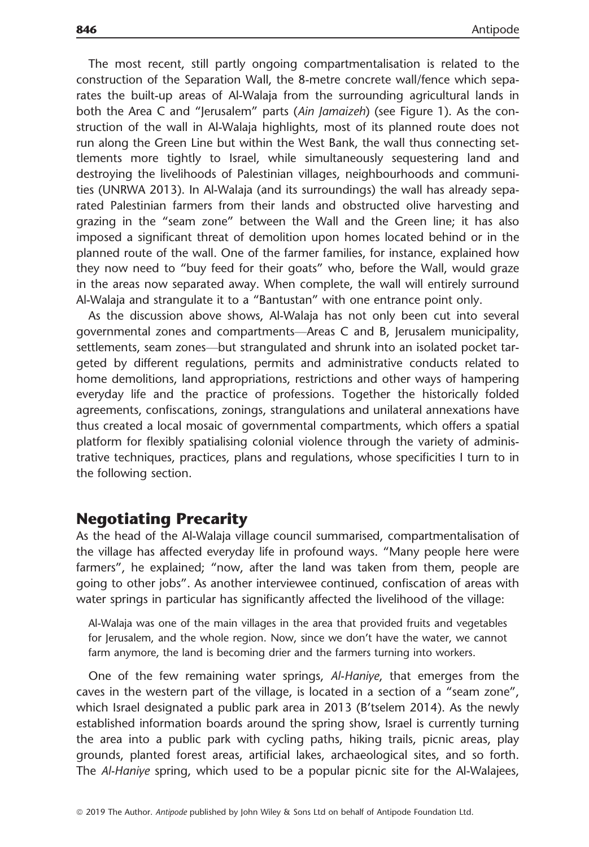The most recent, still partly ongoing compartmentalisation is related to the construction of the Separation Wall, the 8-metre concrete wall/fence which separates the built-up areas of Al-Walaja from the surrounding agricultural lands in both the Area C and "Jerusalem" parts (Ain Jamaizeh) (see Figure 1). As the construction of the wall in Al-Walaja highlights, most of its planned route does not run along the Green Line but within the West Bank, the wall thus connecting settlements more tightly to Israel, while simultaneously sequestering land and destroying the livelihoods of Palestinian villages, neighbourhoods and communities (UNRWA 2013). In Al-Walaja (and its surroundings) the wall has already separated Palestinian farmers from their lands and obstructed olive harvesting and grazing in the "seam zone" between the Wall and the Green line; it has also imposed a significant threat of demolition upon homes located behind or in the planned route of the wall. One of the farmer families, for instance, explained how they now need to "buy feed for their goats" who, before the Wall, would graze in the areas now separated away. When complete, the wall will entirely surround Al-Walaja and strangulate it to a "Bantustan" with one entrance point only.

As the discussion above shows, Al-Walaja has not only been cut into several governmental zones and compartments—Areas C and B, Jerusalem municipality, settlements, seam zones—but strangulated and shrunk into an isolated pocket targeted by different regulations, permits and administrative conducts related to home demolitions, land appropriations, restrictions and other ways of hampering everyday life and the practice of professions. Together the historically folded agreements, confiscations, zonings, strangulations and unilateral annexations have thus created a local mosaic of governmental compartments, which offers a spatial platform for flexibly spatialising colonial violence through the variety of administrative techniques, practices, plans and regulations, whose specificities I turn to in the following section.

#### Negotiating Precarity

As the head of the Al-Walaja village council summarised, compartmentalisation of the village has affected everyday life in profound ways. "Many people here were farmers", he explained; "now, after the land was taken from them, people are going to other jobs". As another interviewee continued, confiscation of areas with water springs in particular has significantly affected the livelihood of the village:

Al-Walaja was one of the main villages in the area that provided fruits and vegetables for Jerusalem, and the whole region. Now, since we don't have the water, we cannot farm anymore, the land is becoming drier and the farmers turning into workers.

One of the few remaining water springs, Al-Haniye, that emerges from the caves in the western part of the village, is located in a section of a "seam zone", which Israel designated a public park area in 2013 (B'tselem 2014). As the newly established information boards around the spring show, Israel is currently turning the area into a public park with cycling paths, hiking trails, picnic areas, play grounds, planted forest areas, artificial lakes, archaeological sites, and so forth. The Al-Haniye spring, which used to be a popular picnic site for the Al-Walajees,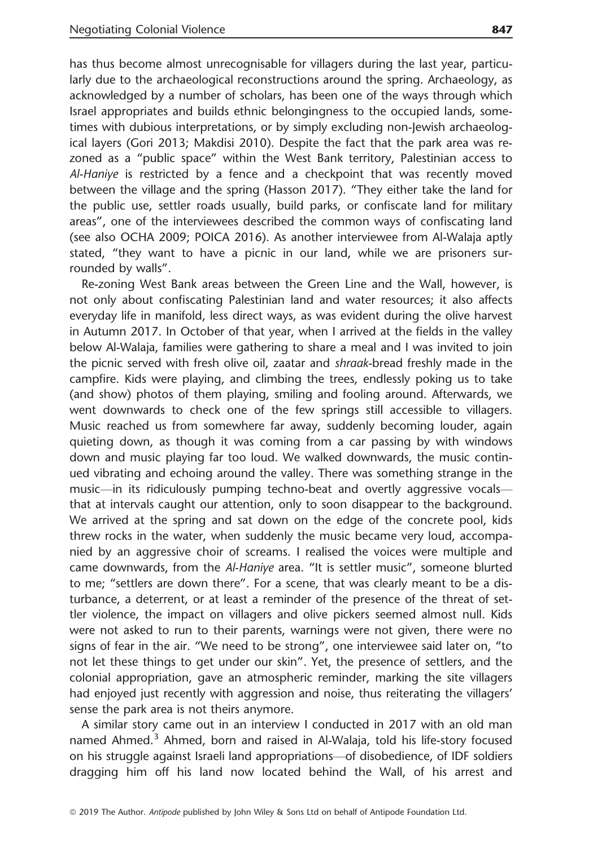has thus become almost unrecognisable for villagers during the last year, particularly due to the archaeological reconstructions around the spring. Archaeology, as acknowledged by a number of scholars, has been one of the ways through which Israel appropriates and builds ethnic belongingness to the occupied lands, sometimes with dubious interpretations, or by simply excluding non-Jewish archaeological layers (Gori 2013; Makdisi 2010). Despite the fact that the park area was rezoned as a "public space" within the West Bank territory, Palestinian access to Al-Haniye is restricted by a fence and a checkpoint that was recently moved between the village and the spring (Hasson 2017). "They either take the land for the public use, settler roads usually, build parks, or confiscate land for military areas", one of the interviewees described the common ways of confiscating land (see also OCHA 2009; POICA 2016). As another interviewee from Al-Walaja aptly stated, "they want to have a picnic in our land, while we are prisoners surrounded by walls".

Re-zoning West Bank areas between the Green Line and the Wall, however, is not only about confiscating Palestinian land and water resources; it also affects everyday life in manifold, less direct ways, as was evident during the olive harvest in Autumn 2017. In October of that year, when I arrived at the fields in the valley below Al-Walaja, families were gathering to share a meal and I was invited to join the picnic served with fresh olive oil, zaatar and shraak-bread freshly made in the campfire. Kids were playing, and climbing the trees, endlessly poking us to take (and show) photos of them playing, smiling and fooling around. Afterwards, we went downwards to check one of the few springs still accessible to villagers. Music reached us from somewhere far away, suddenly becoming louder, again quieting down, as though it was coming from a car passing by with windows down and music playing far too loud. We walked downwards, the music continued vibrating and echoing around the valley. There was something strange in the music—in its ridiculously pumping techno-beat and overtly aggressive vocals that at intervals caught our attention, only to soon disappear to the background. We arrived at the spring and sat down on the edge of the concrete pool, kids threw rocks in the water, when suddenly the music became very loud, accompanied by an aggressive choir of screams. I realised the voices were multiple and came downwards, from the Al-Haniye area. "It is settler music", someone blurted to me; "settlers are down there". For a scene, that was clearly meant to be a disturbance, a deterrent, or at least a reminder of the presence of the threat of settler violence, the impact on villagers and olive pickers seemed almost null. Kids were not asked to run to their parents, warnings were not given, there were no signs of fear in the air. "We need to be strong", one interviewee said later on, "to not let these things to get under our skin". Yet, the presence of settlers, and the colonial appropriation, gave an atmospheric reminder, marking the site villagers had enjoyed just recently with aggression and noise, thus reiterating the villagers' sense the park area is not theirs anymore.

A similar story came out in an interview I conducted in 2017 with an old man named Ahmed. $3$  Ahmed, born and raised in Al-Walaja, told his life-story focused on his struggle against Israeli land appropriations—of disobedience, of IDF soldiers dragging him off his land now located behind the Wall, of his arrest and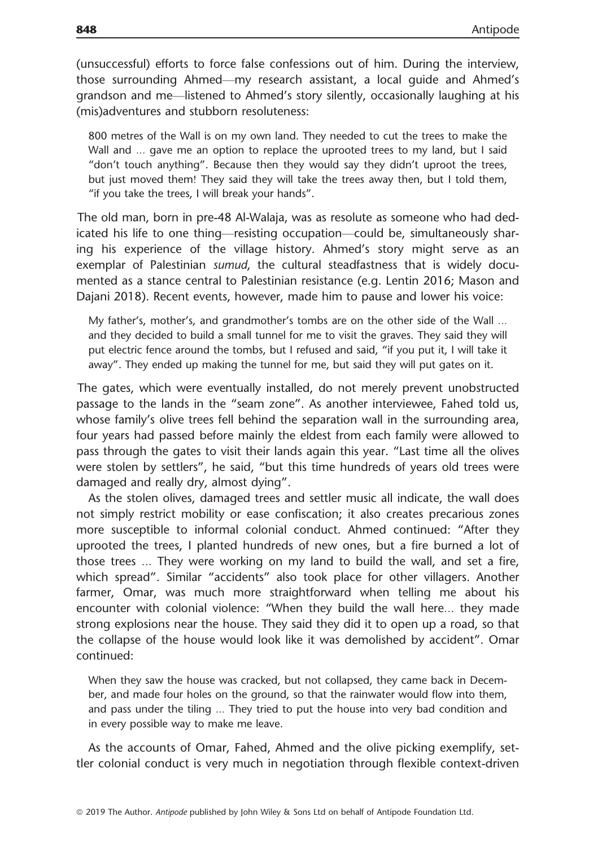(unsuccessful) efforts to force false confessions out of him. During the interview, those surrounding Ahmed—my research assistant, a local guide and Ahmed's grandson and me—listened to Ahmed's story silently, occasionally laughing at his (mis)adventures and stubborn resoluteness:

800 metres of the Wall is on my own land. They needed to cut the trees to make the Wall and ... gave me an option to replace the uprooted trees to my land, but I said "don't touch anything". Because then they would say they didn't uproot the trees, but just moved them! They said they will take the trees away then, but I told them, "if you take the trees, I will break your hands".

The old man, born in pre-48 Al-Walaja, was as resolute as someone who had dedicated his life to one thing—resisting occupation—could be, simultaneously sharing his experience of the village history. Ahmed's story might serve as an exemplar of Palestinian sumud, the cultural steadfastness that is widely documented as a stance central to Palestinian resistance (e.g. Lentin 2016; Mason and Dajani 2018). Recent events, however, made him to pause and lower his voice:

My father's, mother's, and grandmother's tombs are on the other side of the Wall ... and they decided to build a small tunnel for me to visit the graves. They said they will put electric fence around the tombs, but I refused and said, "if you put it, I will take it away". They ended up making the tunnel for me, but said they will put gates on it.

The gates, which were eventually installed, do not merely prevent unobstructed passage to the lands in the "seam zone". As another interviewee, Fahed told us, whose family's olive trees fell behind the separation wall in the surrounding area, four years had passed before mainly the eldest from each family were allowed to pass through the gates to visit their lands again this year. "Last time all the olives were stolen by settlers", he said, "but this time hundreds of years old trees were damaged and really dry, almost dying".

As the stolen olives, damaged trees and settler music all indicate, the wall does not simply restrict mobility or ease confiscation; it also creates precarious zones more susceptible to informal colonial conduct. Ahmed continued: "After they uprooted the trees, I planted hundreds of new ones, but a fire burned a lot of those trees ... They were working on my land to build the wall, and set a fire, which spread". Similar "accidents" also took place for other villagers. Another farmer, Omar, was much more straightforward when telling me about his encounter with colonial violence: "When they build the wall here... they made strong explosions near the house. They said they did it to open up a road, so that the collapse of the house would look like it was demolished by accident". Omar continued:

When they saw the house was cracked, but not collapsed, they came back in December, and made four holes on the ground, so that the rainwater would flow into them, and pass under the tiling ... They tried to put the house into very bad condition and in every possible way to make me leave.

As the accounts of Omar, Fahed, Ahmed and the olive picking exemplify, settler colonial conduct is very much in negotiation through flexible context-driven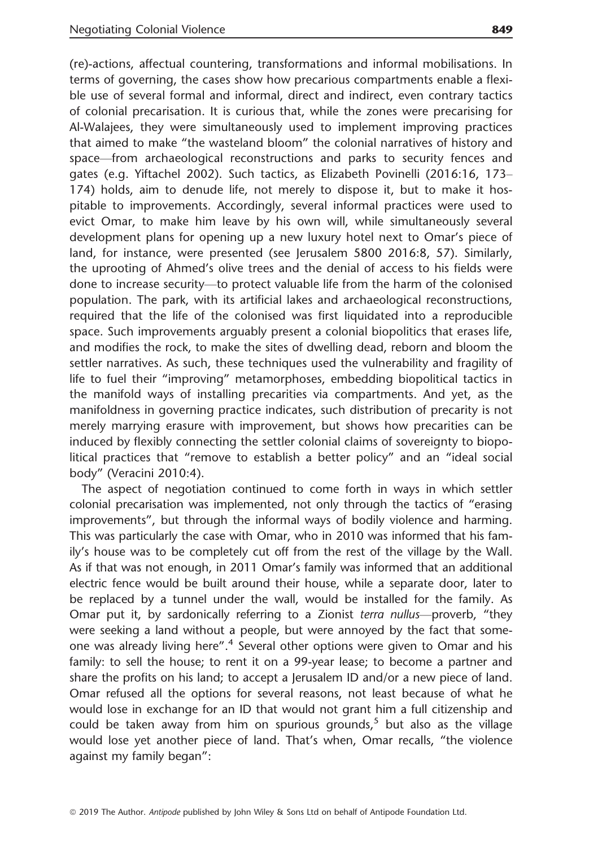(re)-actions, affectual countering, transformations and informal mobilisations. In terms of governing, the cases show how precarious compartments enable a flexible use of several formal and informal, direct and indirect, even contrary tactics of colonial precarisation. It is curious that, while the zones were precarising for Al-Walajees, they were simultaneously used to implement improving practices that aimed to make "the wasteland bloom" the colonial narratives of history and space—from archaeological reconstructions and parks to security fences and gates (e.g. Yiftachel 2002). Such tactics, as Elizabeth Povinelli (2016:16, 173– 174) holds, aim to denude life, not merely to dispose it, but to make it hospitable to improvements. Accordingly, several informal practices were used to evict Omar, to make him leave by his own will, while simultaneously several development plans for opening up a new luxury hotel next to Omar's piece of land, for instance, were presented (see Jerusalem 5800 2016:8, 57). Similarly, the uprooting of Ahmed's olive trees and the denial of access to his fields were done to increase security—to protect valuable life from the harm of the colonised population. The park, with its artificial lakes and archaeological reconstructions, required that the life of the colonised was first liquidated into a reproducible space. Such improvements arguably present a colonial biopolitics that erases life, and modifies the rock, to make the sites of dwelling dead, reborn and bloom the settler narratives. As such, these techniques used the vulnerability and fragility of life to fuel their "improving" metamorphoses, embedding biopolitical tactics in the manifold ways of installing precarities via compartments. And yet, as the manifoldness in governing practice indicates, such distribution of precarity is not merely marrying erasure with improvement, but shows how precarities can be induced by flexibly connecting the settler colonial claims of sovereignty to biopolitical practices that "remove to establish a better policy" and an "ideal social body" (Veracini 2010:4).

The aspect of negotiation continued to come forth in ways in which settler colonial precarisation was implemented, not only through the tactics of "erasing improvements", but through the informal ways of bodily violence and harming. This was particularly the case with Omar, who in 2010 was informed that his family's house was to be completely cut off from the rest of the village by the Wall. As if that was not enough, in 2011 Omar's family was informed that an additional electric fence would be built around their house, while a separate door, later to be replaced by a tunnel under the wall, would be installed for the family. As Omar put it, by sardonically referring to a Zionist terra nullus—proverb, "they were seeking a land without a people, but were annoyed by the fact that someone was already living here".<sup>4</sup> Several other options were given to Omar and his family: to sell the house; to rent it on a 99-year lease; to become a partner and share the profits on his land; to accept a Jerusalem ID and/or a new piece of land. Omar refused all the options for several reasons, not least because of what he would lose in exchange for an ID that would not grant him a full citizenship and could be taken away from him on spurious grounds,<sup>5</sup> but also as the village would lose yet another piece of land. That's when, Omar recalls, "the violence against my family began":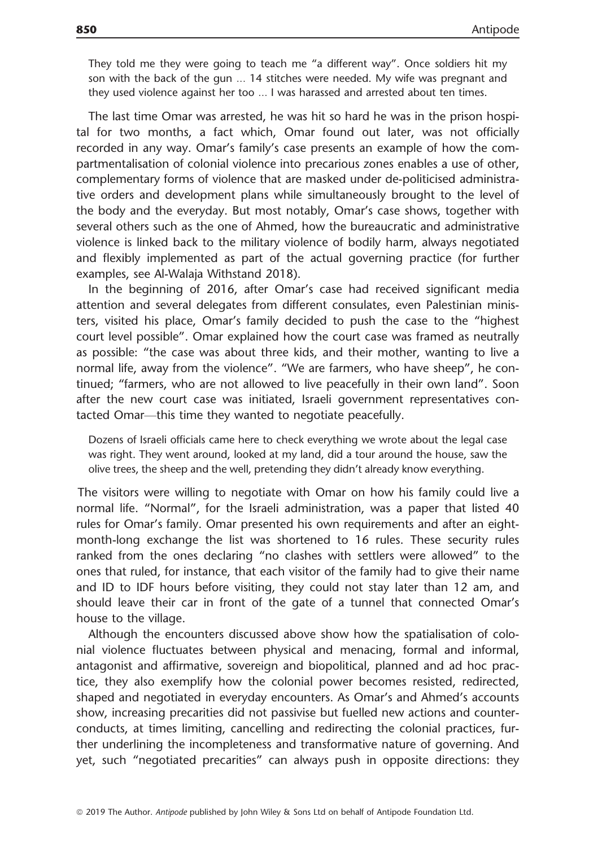They told me they were going to teach me "a different way". Once soldiers hit my son with the back of the gun ... 14 stitches were needed. My wife was pregnant and they used violence against her too ... I was harassed and arrested about ten times.

The last time Omar was arrested, he was hit so hard he was in the prison hospital for two months, a fact which, Omar found out later, was not officially recorded in any way. Omar's family's case presents an example of how the compartmentalisation of colonial violence into precarious zones enables a use of other, complementary forms of violence that are masked under de-politicised administrative orders and development plans while simultaneously brought to the level of the body and the everyday. But most notably, Omar's case shows, together with several others such as the one of Ahmed, how the bureaucratic and administrative violence is linked back to the military violence of bodily harm, always negotiated and flexibly implemented as part of the actual governing practice (for further examples, see Al-Walaja Withstand 2018).

In the beginning of 2016, after Omar's case had received significant media attention and several delegates from different consulates, even Palestinian ministers, visited his place, Omar's family decided to push the case to the "highest court level possible". Omar explained how the court case was framed as neutrally as possible: "the case was about three kids, and their mother, wanting to live a normal life, away from the violence". "We are farmers, who have sheep", he continued; "farmers, who are not allowed to live peacefully in their own land". Soon after the new court case was initiated, Israeli government representatives contacted Omar—this time they wanted to negotiate peacefully.

Dozens of Israeli officials came here to check everything we wrote about the legal case was right. They went around, looked at my land, did a tour around the house, saw the olive trees, the sheep and the well, pretending they didn't already know everything.

The visitors were willing to negotiate with Omar on how his family could live a normal life. "Normal", for the Israeli administration, was a paper that listed 40 rules for Omar's family. Omar presented his own requirements and after an eightmonth-long exchange the list was shortened to 16 rules. These security rules ranked from the ones declaring "no clashes with settlers were allowed" to the ones that ruled, for instance, that each visitor of the family had to give their name and ID to IDF hours before visiting, they could not stay later than 12 am, and should leave their car in front of the gate of a tunnel that connected Omar's house to the village.

Although the encounters discussed above show how the spatialisation of colonial violence fluctuates between physical and menacing, formal and informal, antagonist and affirmative, sovereign and biopolitical, planned and ad hoc practice, they also exemplify how the colonial power becomes resisted, redirected, shaped and negotiated in everyday encounters. As Omar's and Ahmed's accounts show, increasing precarities did not passivise but fuelled new actions and counterconducts, at times limiting, cancelling and redirecting the colonial practices, further underlining the incompleteness and transformative nature of governing. And yet, such "negotiated precarities" can always push in opposite directions: they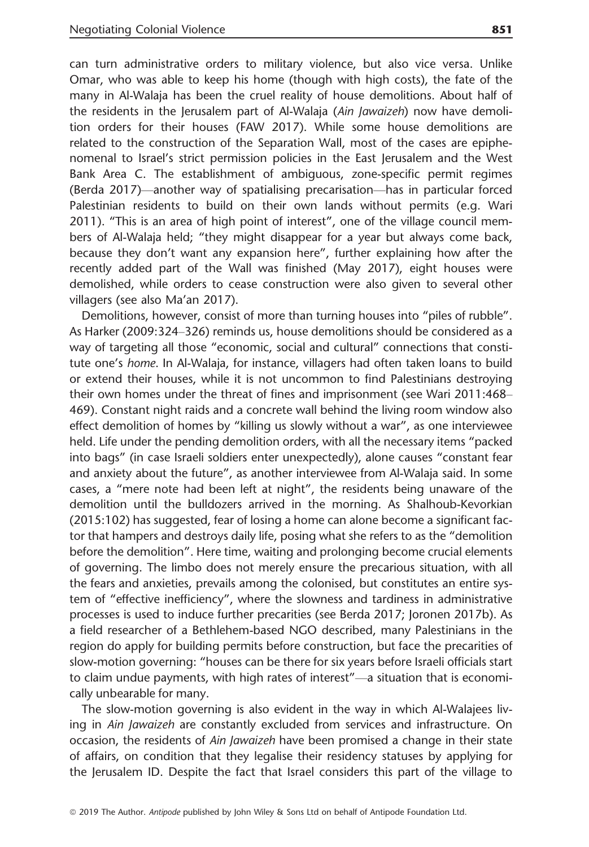can turn administrative orders to military violence, but also vice versa. Unlike Omar, who was able to keep his home (though with high costs), the fate of the many in Al-Walaja has been the cruel reality of house demolitions. About half of the residents in the Jerusalem part of Al-Walaja (Ain Jawaizeh) now have demolition orders for their houses (FAW 2017). While some house demolitions are related to the construction of the Separation Wall, most of the cases are epiphenomenal to Israel's strict permission policies in the East Jerusalem and the West Bank Area C. The establishment of ambiguous, zone-specific permit regimes (Berda 2017)—another way of spatialising precarisation—has in particular forced Palestinian residents to build on their own lands without permits (e.g. Wari 2011). "This is an area of high point of interest", one of the village council members of Al-Walaja held; "they might disappear for a year but always come back, because they don't want any expansion here", further explaining how after the recently added part of the Wall was finished (May 2017), eight houses were demolished, while orders to cease construction were also given to several other villagers (see also Ma'an 2017).

Demolitions, however, consist of more than turning houses into "piles of rubble". As Harker (2009:324–326) reminds us, house demolitions should be considered as a way of targeting all those "economic, social and cultural" connections that constitute one's home. In Al-Walaja, for instance, villagers had often taken loans to build or extend their houses, while it is not uncommon to find Palestinians destroying their own homes under the threat of fines and imprisonment (see Wari 2011:468– 469). Constant night raids and a concrete wall behind the living room window also effect demolition of homes by "killing us slowly without a war", as one interviewee held. Life under the pending demolition orders, with all the necessary items "packed into bags" (in case Israeli soldiers enter unexpectedly), alone causes "constant fear and anxiety about the future", as another interviewee from Al-Walaja said. In some cases, a "mere note had been left at night", the residents being unaware of the demolition until the bulldozers arrived in the morning. As Shalhoub-Kevorkian (2015:102) has suggested, fear of losing a home can alone become a significant factor that hampers and destroys daily life, posing what she refers to as the "demolition before the demolition". Here time, waiting and prolonging become crucial elements of governing. The limbo does not merely ensure the precarious situation, with all the fears and anxieties, prevails among the colonised, but constitutes an entire system of "effective inefficiency", where the slowness and tardiness in administrative processes is used to induce further precarities (see Berda 2017; Joronen 2017b). As a field researcher of a Bethlehem-based NGO described, many Palestinians in the region do apply for building permits before construction, but face the precarities of slow-motion governing: "houses can be there for six years before Israeli officials start to claim undue payments, with high rates of interest"—a situation that is economically unbearable for many.

The slow-motion governing is also evident in the way in which Al-Walajees living in Ain Jawaizeh are constantly excluded from services and infrastructure. On occasion, the residents of Ain Jawaizeh have been promised a change in their state of affairs, on condition that they legalise their residency statuses by applying for the Jerusalem ID. Despite the fact that Israel considers this part of the village to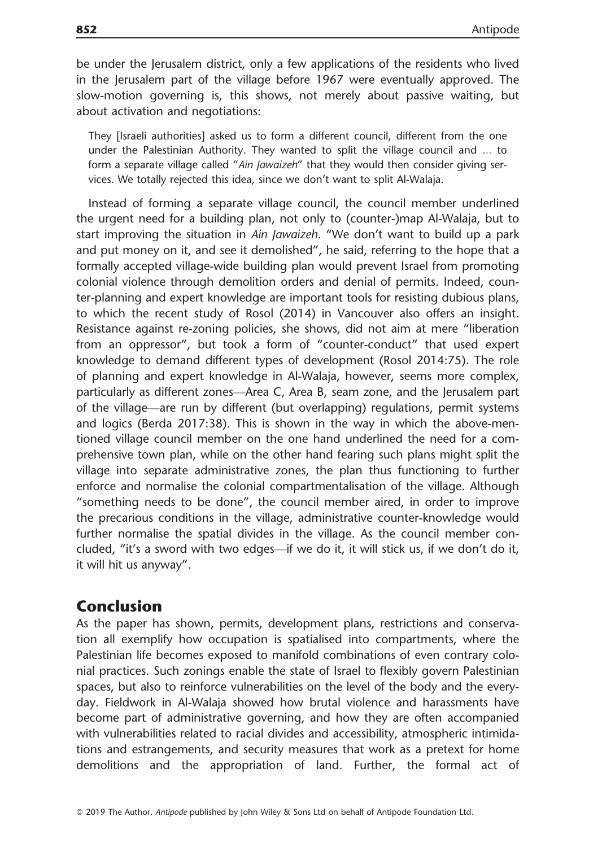be under the Jerusalem district, only a few applications of the residents who lived in the Jerusalem part of the village before 1967 were eventually approved. The slow-motion governing is, this shows, not merely about passive waiting, but about activation and negotiations:

They [Israeli authorities] asked us to form a different council, different from the one under the Palestinian Authority. They wanted to split the village council and ... to form a separate village called "Ain Jawaizeh" that they would then consider giving services. We totally rejected this idea, since we don't want to split Al-Walaja.

Instead of forming a separate village council, the council member underlined the urgent need for a building plan, not only to (counter-)map Al-Walaja, but to start improving the situation in Ain Jawaizeh. "We don't want to build up a park and put money on it, and see it demolished", he said, referring to the hope that a formally accepted village-wide building plan would prevent Israel from promoting colonial violence through demolition orders and denial of permits. Indeed, counter-planning and expert knowledge are important tools for resisting dubious plans, to which the recent study of Rosol (2014) in Vancouver also offers an insight. Resistance against re-zoning policies, she shows, did not aim at mere "liberation from an oppressor", but took a form of "counter-conduct" that used expert knowledge to demand different types of development (Rosol 2014:75). The role of planning and expert knowledge in Al-Walaja, however, seems more complex, particularly as different zones—Area C, Area B, seam zone, and the Jerusalem part of the village—are run by different (but overlapping) regulations, permit systems and logics (Berda 2017:38). This is shown in the way in which the above-mentioned village council member on the one hand underlined the need for a comprehensive town plan, while on the other hand fearing such plans might split the village into separate administrative zones, the plan thus functioning to further enforce and normalise the colonial compartmentalisation of the village. Although "something needs to be done", the council member aired, in order to improve the precarious conditions in the village, administrative counter-knowledge would further normalise the spatial divides in the village. As the council member concluded, "it's a sword with two edges—if we do it, it will stick us, if we don't do it, it will hit us anyway".

# Conclusion

As the paper has shown, permits, development plans, restrictions and conservation all exemplify how occupation is spatialised into compartments, where the Palestinian life becomes exposed to manifold combinations of even contrary colonial practices. Such zonings enable the state of Israel to flexibly govern Palestinian spaces, but also to reinforce vulnerabilities on the level of the body and the everyday. Fieldwork in Al-Walaja showed how brutal violence and harassments have become part of administrative governing, and how they are often accompanied with vulnerabilities related to racial divides and accessibility, atmospheric intimidations and estrangements, and security measures that work as a pretext for home demolitions and the appropriation of land. Further, the formal act of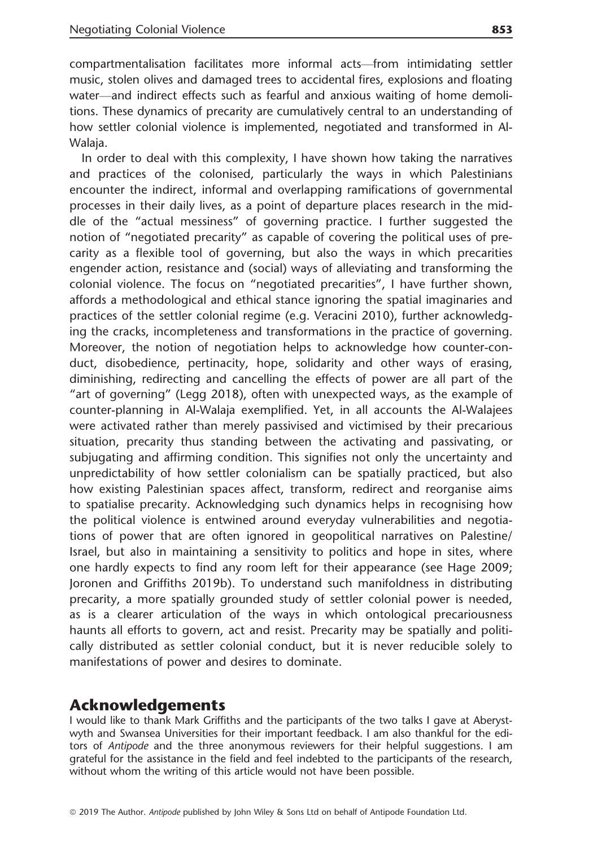compartmentalisation facilitates more informal acts—from intimidating settler music, stolen olives and damaged trees to accidental fires, explosions and floating water—and indirect effects such as fearful and anxious waiting of home demolitions. These dynamics of precarity are cumulatively central to an understanding of how settler colonial violence is implemented, negotiated and transformed in Al-Walaja.

In order to deal with this complexity, I have shown how taking the narratives and practices of the colonised, particularly the ways in which Palestinians encounter the indirect, informal and overlapping ramifications of governmental processes in their daily lives, as a point of departure places research in the middle of the "actual messiness" of governing practice. I further suggested the notion of "negotiated precarity" as capable of covering the political uses of precarity as a flexible tool of governing, but also the ways in which precarities engender action, resistance and (social) ways of alleviating and transforming the colonial violence. The focus on "negotiated precarities", I have further shown, affords a methodological and ethical stance ignoring the spatial imaginaries and practices of the settler colonial regime (e.g. Veracini 2010), further acknowledging the cracks, incompleteness and transformations in the practice of governing. Moreover, the notion of negotiation helps to acknowledge how counter-conduct, disobedience, pertinacity, hope, solidarity and other ways of erasing, diminishing, redirecting and cancelling the effects of power are all part of the "art of governing" (Legg 2018), often with unexpected ways, as the example of counter-planning in Al-Walaja exemplified. Yet, in all accounts the Al-Walajees were activated rather than merely passivised and victimised by their precarious situation, precarity thus standing between the activating and passivating, or subjugating and affirming condition. This signifies not only the uncertainty and unpredictability of how settler colonialism can be spatially practiced, but also how existing Palestinian spaces affect, transform, redirect and reorganise aims to spatialise precarity. Acknowledging such dynamics helps in recognising how the political violence is entwined around everyday vulnerabilities and negotiations of power that are often ignored in geopolitical narratives on Palestine/ Israel, but also in maintaining a sensitivity to politics and hope in sites, where one hardly expects to find any room left for their appearance (see Hage 2009; Joronen and Griffiths 2019b). To understand such manifoldness in distributing precarity, a more spatially grounded study of settler colonial power is needed, as is a clearer articulation of the ways in which ontological precariousness haunts all efforts to govern, act and resist. Precarity may be spatially and politically distributed as settler colonial conduct, but it is never reducible solely to manifestations of power and desires to dominate.

# Acknowledgements

I would like to thank Mark Griffiths and the participants of the two talks I gave at Aberystwyth and Swansea Universities for their important feedback. I am also thankful for the editors of Antipode and the three anonymous reviewers for their helpful suggestions. I am grateful for the assistance in the field and feel indebted to the participants of the research, without whom the writing of this article would not have been possible.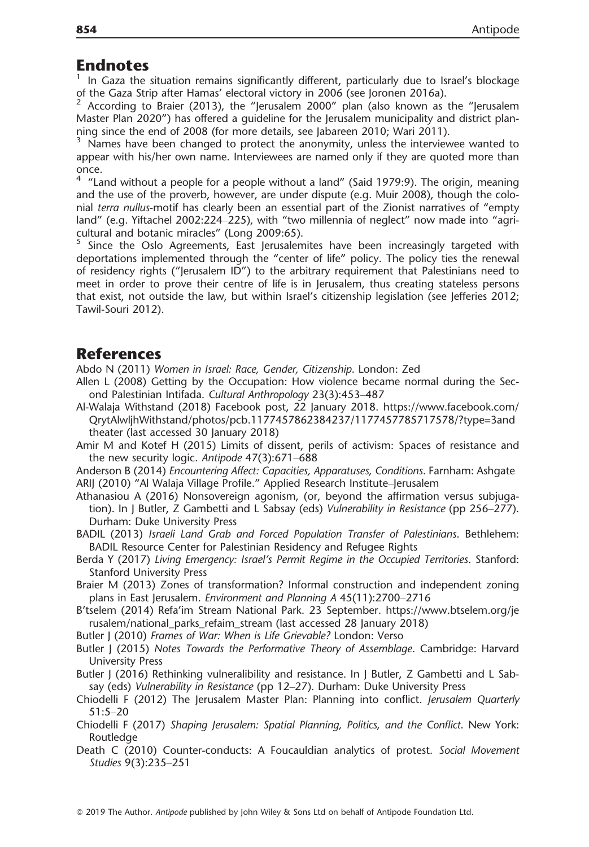#### Endnotes

<sup>1</sup> In Gaza the situation remains significantly different, particularly due to Israel's blockage of the Gaza Strip after Hamas' electoral victory in 2006 (see Ioronen 2016a).

<sup>2</sup> According to Braier (2013), the "Jerusalem 2000" plan (also known as the "Jerusalem Master Plan 2020") has offered a guideline for the Jerusalem municipality and district planning since the end of 2008 (for more details, see Jabareen 2010; Wari 2011).

<sup>3</sup> Names have been changed to protect the anonymity, unless the interviewee wanted to appear with his/her own name. Interviewees are named only if they are quoted more than once.

 $4$  "Land without a people for a people without a land" (Said 1979:9). The origin, meaning and the use of the proverb, however, are under dispute (e.g. Muir 2008), though the colonial terra nullus-motif has clearly been an essential part of the Zionist narratives of "empty land" (e.g. Yiftachel 2002:224–225), with "two millennia of neglect" now made into "agricultural and botanic miracles" (Long 2009:65).<br><sup>5</sup> Since the Oslo Agreements, East Jerusalemites have been increasingly targeted with

deportations implemented through the "center of life" policy. The policy ties the renewal of residency rights ("Jerusalem ID") to the arbitrary requirement that Palestinians need to meet in order to prove their centre of life is in Jerusalem, thus creating stateless persons that exist, not outside the law, but within Israel's citizenship legislation (see Jefferies 2012; Tawil-Souri 2012).

#### References

Abdo N (2011) Women in Israel: Race, Gender, Citizenship. London: Zed

- Allen L (2008) Getting by the Occupation: How violence became normal during the Second Palestinian Intifada. Cultural Anthropology 23(3):453–487
- Al-Walaja Withstand (2018) Facebook post, 22 January 2018. [https://www.facebook.com/](https://www.facebook.com/QrytAlwljhWithstand/photos/pcb.1177457862384237/1177457785717578/?type=3andtheater) [QrytAlwljhWithstand/photos/pcb.1177457862384237/1177457785717578/?type=3and](https://www.facebook.com/QrytAlwljhWithstand/photos/pcb.1177457862384237/1177457785717578/?type=3andtheater) [theater](https://www.facebook.com/QrytAlwljhWithstand/photos/pcb.1177457862384237/1177457785717578/?type=3andtheater) (last accessed 30 January 2018)
- Amir M and Kotef H (2015) Limits of dissent, perils of activism: Spaces of resistance and the new security logic. Antipode 47(3):671–688

Anderson B (2014) Encountering Affect: Capacities, Apparatuses, Conditions. Farnham: Ashgate ARIJ (2010) "Al Walaja Village Profile." Applied Research Institute–Jerusalem

- Athanasiou A (2016) Nonsovereign agonism, (or, beyond the affirmation versus subjugation). In J Butler, Z Gambetti and L Sabsay (eds) Vulnerability in Resistance (pp 256–277). Durham: Duke University Press
- BADIL (2013) Israeli Land Grab and Forced Population Transfer of Palestinians. Bethlehem: BADIL Resource Center for Palestinian Residency and Refugee Rights
- Berda Y (2017) Living Emergency: Israel's Permit Regime in the Occupied Territories. Stanford: Stanford University Press
- Braier M (2013) Zones of transformation? Informal construction and independent zoning plans in East Jerusalem. Environment and Planning A 45(11):2700–2716
- B'tselem (2014) Refa'im Stream National Park. 23 September. [https://www.btselem.org/je](https://www.btselem.org/jerusalem/national_parks_refaim_stream) [rusalem/national\\_parks\\_refaim\\_stream](https://www.btselem.org/jerusalem/national_parks_refaim_stream) (last accessed 28 January 2018)
- Butler J (2010) Frames of War: When is Life Grievable? London: Verso
- Butler J (2015) Notes Towards the Performative Theory of Assemblage. Cambridge: Harvard University Press
- Butler J (2016) Rethinking vulneralibility and resistance. In J Butler, Z Gambetti and L Sabsay (eds) Vulnerability in Resistance (pp 12–27). Durham: Duke University Press
- Chiodelli F (2012) The Jerusalem Master Plan: Planning into conflict. Jerusalem Quarterly 51:5–20
- Chiodelli F (2017) Shaping Jerusalem: Spatial Planning, Politics, and the Conflict. New York: Routledge
- Death C (2010) Counter-conducts: A Foucauldian analytics of protest. Social Movement Studies 9(3):235–251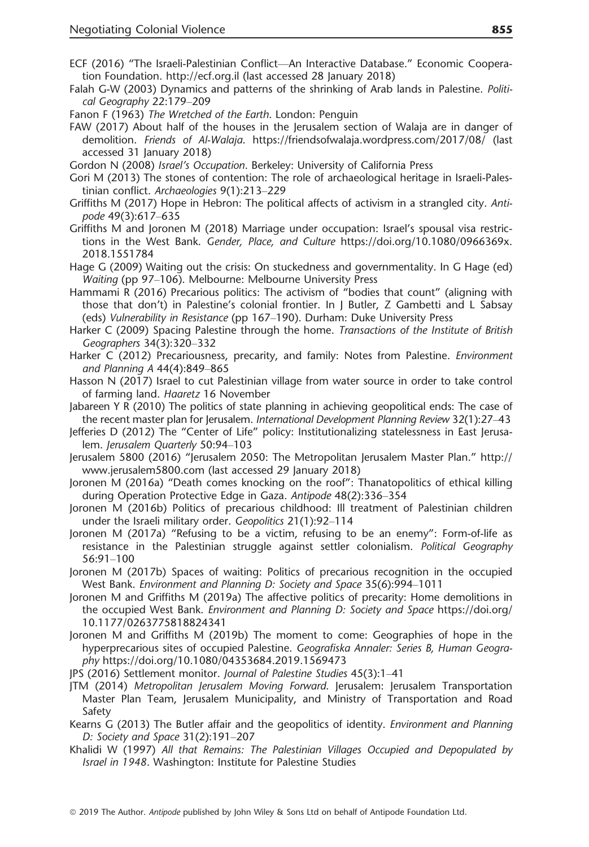- ECF (2016) "The Israeli-Palestinian Conflict—An Interactive Database." Economic Cooperation Foundation.<http://ecf.org.il> (last accessed 28 January 2018)
- Falah G-W (2003) Dynamics and patterns of the shrinking of Arab lands in Palestine. Political Geography 22:179–209
- Fanon F (1963) The Wretched of the Earth. London: Penguin
- FAW (2017) About half of the houses in the Jerusalem section of Walaja are in danger of demolition. Friends of Al-Walaja.<https://friendsofwalaja.wordpress.com/2017/08/> (last accessed 31 January 2018)
- Gordon N (2008) Israel's Occupation. Berkeley: University of California Press
- Gori M (2013) The stones of contention: The role of archaeological heritage in Israeli-Palestinian conflict. Archaeologies 9(1):213–229
- Griffiths M (2017) Hope in Hebron: The political affects of activism in a strangled city. Antipode 49(3):617–635
- Griffiths M and Joronen M (2018) Marriage under occupation: Israel's spousal visa restrictions in the West Bank. Gender, Place, and Culture [https://doi.org/10.1080/0966369x.](https://doi.org/10.1080/0966369x.2018.1551784) [2018.1551784](https://doi.org/10.1080/0966369x.2018.1551784)
- Hage G (2009) Waiting out the crisis: On stuckedness and governmentality. In G Hage (ed) Waiting (pp 97–106). Melbourne: Melbourne University Press
- Hammami R (2016) Precarious politics: The activism of "bodies that count" (aligning with those that don't) in Palestine's colonial frontier. In J Butler, Z Gambetti and L Sabsay (eds) Vulnerability in Resistance (pp 167–190). Durham: Duke University Press
- Harker C (2009) Spacing Palestine through the home. Transactions of the Institute of British Geographers 34(3):320–332
- Harker C (2012) Precariousness, precarity, and family: Notes from Palestine. *Environment* and Planning A 44(4):849–865
- Hasson N (2017) Israel to cut Palestinian village from water source in order to take control of farming land. Haaretz 16 November
- Jabareen Y R (2010) The politics of state planning in achieving geopolitical ends: The case of the recent master plan for Jerusalem. International Development Planning Review 32(1):27–43
- Jefferies D (2012) The "Center of Life" policy: Institutionalizing statelessness in East Jerusalem. Jerusalem Quarterly 50:94–103
- Jerusalem 5800 (2016) "Jerusalem 2050: The Metropolitan Jerusalem Master Plan." [http://](http://www.jerusalem5800.com) [www.jerusalem5800.com](http://www.jerusalem5800.com) (last accessed 29 January 2018)
- Joronen M (2016a) "Death comes knocking on the roof": Thanatopolitics of ethical killing during Operation Protective Edge in Gaza. Antipode 48(2):336–354
- Joronen M (2016b) Politics of precarious childhood: Ill treatment of Palestinian children under the Israeli military order. Geopolitics 21(1):92–114
- Joronen M (2017a) "Refusing to be a victim, refusing to be an enemy": Form-of-life as resistance in the Palestinian struggle against settler colonialism. Political Geography 56:91–100
- Joronen M (2017b) Spaces of waiting: Politics of precarious recognition in the occupied West Bank. Environment and Planning D: Society and Space 35(6):994–1011
- Joronen M and Griffiths M (2019a) The affective politics of precarity: Home demolitions in the occupied West Bank. Environment and Planning D: Society and Space [https://doi.org/](https://doi.org/10.1177/0263775818824341) [10.1177/0263775818824341](https://doi.org/10.1177/0263775818824341)
- Joronen M and Griffiths M (2019b) The moment to come: Geographies of hope in the hyperprecarious sites of occupied Palestine. Geografiska Annaler: Series B, Human Geography <https://doi.org/10.1080/04353684.2019.1569473>
- JPS (2016) Settlement monitor. Journal of Palestine Studies 45(3):1–41
- JTM (2014) Metropolitan Jerusalem Moving Forward. Jerusalem: Jerusalem Transportation Master Plan Team, Jerusalem Municipality, and Ministry of Transportation and Road Safety
- Kearns G (2013) The Butler affair and the geopolitics of identity. Environment and Planning D: Society and Space 31(2):191–207
- Khalidi W (1997) All that Remains: The Palestinian Villages Occupied and Depopulated by Israel in 1948. Washington: Institute for Palestine Studies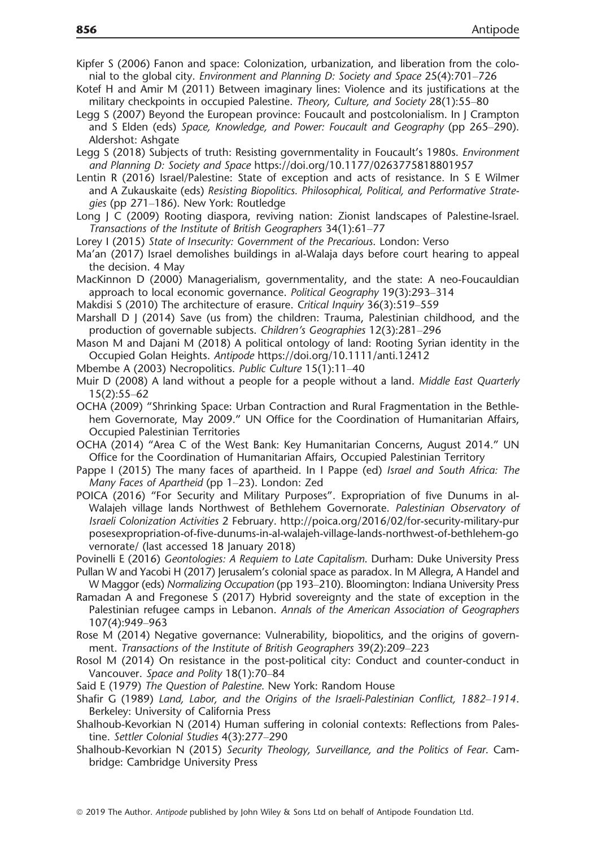- Kipfer S (2006) Fanon and space: Colonization, urbanization, and liberation from the colonial to the global city. Environment and Planning D: Society and Space 25(4):701–726
- Kotef H and Amir M (2011) Between imaginary lines: Violence and its justifications at the military checkpoints in occupied Palestine. Theory, Culture, and Society 28(1):55–80
- Legg S (2007) Beyond the European province: Foucault and postcolonialism. In J Crampton and S Elden (eds) Space, Knowledge, and Power: Foucault and Geography (pp 265–290). Aldershot: Ashgate
- Legg S (2018) Subjects of truth: Resisting governmentality in Foucault's 1980s. Environment and Planning D: Society and Space <https://doi.org/10.1177/0263775818801957>
- Lentin R (2016) Israel/Palestine: State of exception and acts of resistance. In S E Wilmer and A Zukauskaite (eds) Resisting Biopolitics. Philosophical, Political, and Performative Strategies (pp 271–186). New York: Routledge
- Long J C (2009) Rooting diaspora, reviving nation: Zionist landscapes of Palestine-Israel. Transactions of the Institute of British Geographers 34(1):61–77
- Lorey I (2015) State of Insecurity: Government of the Precarious. London: Verso
- Ma'an (2017) Israel demolishes buildings in al-Walaja days before court hearing to appeal the decision. 4 May
- MacKinnon D (2000) Managerialism, governmentality, and the state: A neo-Foucauldian approach to local economic governance. Political Geography 19(3):293–314
- Makdisi S (2010) The architecture of erasure. Critical Inquiry 36(3):519–559
- Marshall D J (2014) Save (us from) the children: Trauma, Palestinian childhood, and the production of governable subjects. Children's Geographies 12(3):281–296
- Mason M and Dajani M (2018) A political ontology of land: Rooting Syrian identity in the Occupied Golan Heights. Antipode <https://doi.org/10.1111/anti.12412>
- Mbembe A (2003) Necropolitics. Public Culture 15(1):11–40
- Muir D (2008) A land without a people for a people without a land. Middle East Quarterly 15(2):55–62
- OCHA (2009) "Shrinking Space: Urban Contraction and Rural Fragmentation in the Bethlehem Governorate, May 2009." UN Office for the Coordination of Humanitarian Affairs, Occupied Palestinian Territories
- OCHA (2014) "Area C of the West Bank: Key Humanitarian Concerns, August 2014." UN Office for the Coordination of Humanitarian Affairs, Occupied Palestinian Territory
- Pappe I (2015) The many faces of apartheid. In I Pappe (ed) Israel and South Africa: The Many Faces of Apartheid (pp 1–23). London: Zed
- POICA (2016) "For Security and Military Purposes". Expropriation of five Dunums in al-Walajeh village lands Northwest of Bethlehem Governorate. Palestinian Observatory of Israeli Colonization Activities 2 February. [http://poica.org/2016/02/for-security-military-pur](http://poica.org/2016/02/for-security-military-purposesexpropriation-of-five-dunums-in-al-walajeh-village-lands-northwest-of-bethlehem-governorate/) posesexpropriation-of-fi[ve-dunums-in-al-walajeh-village-lands-northwest-of-bethlehem-go](http://poica.org/2016/02/for-security-military-purposesexpropriation-of-five-dunums-in-al-walajeh-village-lands-northwest-of-bethlehem-governorate/) [vernorate/](http://poica.org/2016/02/for-security-military-purposesexpropriation-of-five-dunums-in-al-walajeh-village-lands-northwest-of-bethlehem-governorate/) (last accessed 18 January 2018)
- Povinelli E (2016) Geontologies: A Requiem to Late Capitalism. Durham: Duke University Press Pullan W and Yacobi H (2017) Jerusalem's colonial space as paradox. In M Allegra, A Handel and
- W Maggor (eds) Normalizing Occupation (pp 193–210). Bloomington: Indiana University Press
- Ramadan A and Fregonese S (2017) Hybrid sovereignty and the state of exception in the Palestinian refugee camps in Lebanon. Annals of the American Association of Geographers 107(4):949–963
- Rose M (2014) Negative governance: Vulnerability, biopolitics, and the origins of government. Transactions of the Institute of British Geographers 39(2):209–223
- Rosol M (2014) On resistance in the post-political city: Conduct and counter-conduct in Vancouver. Space and Polity 18(1):70–84
- Said E (1979) The Question of Palestine. New York: Random House
- Shafir G (1989) Land, Labor, and the Origins of the Israeli-Palestinian Conflict, 1882–1914. Berkeley: University of California Press
- Shalhoub-Kevorkian N (2014) Human suffering in colonial contexts: Reflections from Palestine. Settler Colonial Studies 4(3):277–290
- Shalhoub-Kevorkian N (2015) Security Theology, Surveillance, and the Politics of Fear. Cambridge: Cambridge University Press